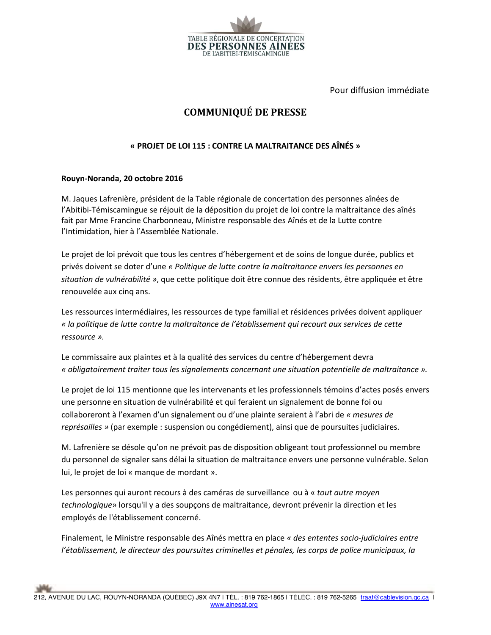

Pour diffusion immédiate

## **COMMUNIQUÉ DE PRESSE**

## « PROJET DE LOI 115 : CONTRE LA MALTRAITANCE DES AÎNÉS »

## Rouyn-Noranda, 20 octobre 2016

M. Jaques Lafrenière, président de la Table régionale de concertation des personnes aînées de l'Abitibi-Témiscamingue se réjouit de la déposition du projet de loi contre la maltraitance des aînés fait par Mme Francine Charbonneau, Ministre responsable des Aînés et de la Lutte contre l'Intimidation, hier à l'Assemblée Nationale.

Le projet de loi prévoit que tous les centres d'hébergement et de soins de longue durée, publics et privés doivent se doter d'une « Politique de lutte contre la maltraitance envers les personnes en situation de vulnérabilité », que cette politique doit être connue des résidents, être appliquée et être renouvelée aux cinq ans.

Les ressources intermédiaires, les ressources de type familial et résidences privées doivent appliquer « la politique de lutte contre la maltraitance de l'établissement qui recourt aux services de cette ressource ».

Le commissaire aux plaintes et à la qualité des services du centre d'hébergement devra « obligatoirement traiter tous les signalements concernant une situation potentielle de maltraitance ».

Le projet de loi 115 mentionne que les intervenants et les professionnels témoins d'actes posés envers une personne en situation de vulnérabilité et qui feraient un signalement de bonne foi ou collaboreront à l'examen d'un signalement ou d'une plainte seraient à l'abri de « mesures de représailles » (par exemple : suspension ou congédiement), ainsi que de poursuites judiciaires.

M. Lafrenière se désole qu'on ne prévoit pas de disposition obligeant tout professionnel ou membre du personnel de signaler sans délai la situation de maltraitance envers une personne vulnérable. Selon lui, le projet de loi « manque de mordant ».

Les personnes qui auront recours à des caméras de surveillance ou à « tout autre moyen technologique» lorsqu'il y a des soupçons de maltraitance, devront prévenir la direction et les employés de l'établissement concerné.

Finalement, le Ministre responsable des Aînés mettra en place « des ententes socio-judiciaires entre l'établissement, le directeur des poursuites criminelles et pénales, les corps de police municipaux, la